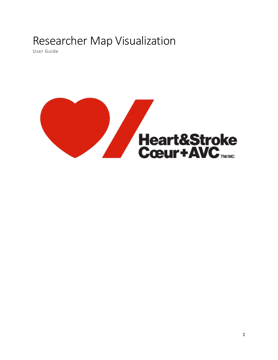# Researcher Map Visualization

User Guide

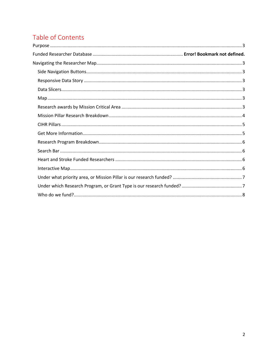## Table of Contents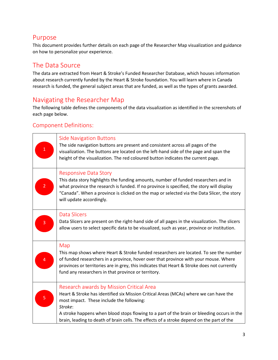## <span id="page-2-0"></span>Purpose

This document provides further details on each page of the Researcher Map visualization and guidance on how to personalize your experience.

## The Data Source

<span id="page-2-1"></span>The data are extracted from Heart & Stroke's Funded Researcher Database, which houses information about research currently funded by the Heart & Stroke foundation. You will learn where in Canada research is funded, the general subject areas that are funded, as well as the types of grants awarded.

## Navigating the Researcher Map

The following table defines the components of the data visualization as identified in the screenshots of each page below.

## Component Definitions:

<span id="page-2-6"></span><span id="page-2-5"></span><span id="page-2-4"></span><span id="page-2-3"></span><span id="page-2-2"></span>

| $\mathbf 1$    | <b>Side Navigation Buttons</b><br>The side navigation buttons are present and consistent across all pages of the<br>visualization. The buttons are located on the left-hand side of the page and span the<br>height of the visualization. The red coloured button indicates the current page.                                                                                        |
|----------------|--------------------------------------------------------------------------------------------------------------------------------------------------------------------------------------------------------------------------------------------------------------------------------------------------------------------------------------------------------------------------------------|
| $\overline{2}$ | <b>Responsive Data Story</b><br>This data story highlights the funding amounts, number of funded researchers and in<br>what province the research is funded. If no province is specified, the story will display<br>"Canada". When a province is clicked on the map or selected via the Data Slicer, the story<br>will update accordingly.                                           |
| 3              | <b>Data Slicers</b><br>Data Slicers are present on the right-hand side of all pages in the visualization. The slicers<br>allow users to select specific data to be visualized, such as year, province or institution.                                                                                                                                                                |
| 4              | Map<br>This map shows where Heart & Stroke funded researchers are located. To see the number<br>of funded researchers in a province, hover over that province with your mouse. Where<br>provinces or territories are in grey, this indicates that Heart & Stroke does not currently<br>fund any researchers in that province or territory.                                           |
| $\overline{5}$ | Research awards by Mission Critical Area<br>Heart & Stroke has identified six Mission Critical Areas (MCAs) where we can have the<br>most impact. These include the following:<br>Stroke:<br>A stroke happens when blood stops flowing to a part of the brain or bleeding occurs in the<br>brain, leading to death of brain cells. The effects of a stroke depend on the part of the |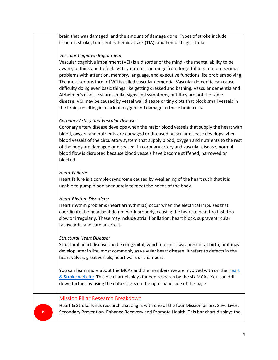brain that was damaged, and the amount of damage done. Types of stroke include ischemic stroke; transient ischemic attack (TIA); and hemorrhagic stroke.

#### *Vascular Cognitive Impairment*:

Vascular cognitive impairment (VCI) is a disorder of the mind - the mental ability to be aware, to think and to feel. VCI symptoms can range from forgetfulness to more serious problems with attention, memory, language, and executive functions like problem solving. The most serious form of VCI is called vascular dementia. Vascular dementia can cause difficulty doing even basic things like getting dressed and bathing. Vascular dementia and Alzheimer's disease share similar signs and symptoms, but they are not the same disease. VCI may be caused by vessel wall disease or tiny clots that block small vessels in the brain, resulting in a lack of oxygen and damage to these brain cells.

#### *Coronary Artery and Vascular Disease:*

Coronary artery disease develops when the major blood vessels that supply the heart with blood, oxygen and nutrients are damaged or diseased. Vascular disease develops when blood vessels of the circulatory system that supply blood, oxygen and nutrients to the rest of the body are damaged or diseased. In coronary artery and vascular disease, normal blood flow is disrupted because blood vessels have become stiffened, narrowed or blocked.

#### *Heart Failure:*

Heart failure is a complex syndrome caused by weakening of the heart such that it is unable to pump blood adequately to meet the needs of the body.

#### *Heart Rhythm Disorders:*

Heart rhythm problems (heart arrhythmias) occur when the electrical impulses that coordinate the heartbeat do not work properly, causing the heart to beat too fast, too slow or irregularly. These may include atrial fibrillation, heart block, supraventricular tachycardia and cardiac arrest.

#### *Structural Heart Disease:*

Structural heart disease can be congenital, which means it was present at birth, or it may develop later in life, most commonly as valvular heart disease. It refers to defects in the heart valves, great vessels, heart walls or chambers.

You can learn more about the MCAs and the members we are involved with on the [Heart](https://www.heartandstroke.ca/what-we-do/mca-councils)  [& Stroke website.](https://www.heartandstroke.ca/what-we-do/mca-councils) This pie chart displays funded research by the six MCAs. You can drill down further by using the data slicers on the right-hand side of the page.

#### <span id="page-3-0"></span>Mission Pillar Research Breakdown

Heart & Stroke funds research that aligns with one of the four Mission pillars: Save Lives, 6 Secondary Prevention, Enhance Recovery and Promote Health. This bar chart displays the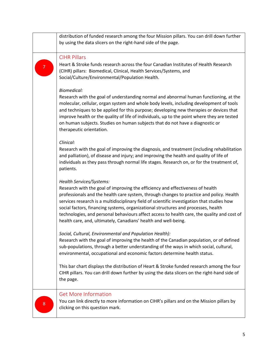<span id="page-4-1"></span><span id="page-4-0"></span>

|                | distribution of funded research among the four Mission pillars. You can drill down further<br>by using the data slicers on the right-hand side of the page.                                                                                                                                                                                                                                                                                                                                                                                                   |
|----------------|---------------------------------------------------------------------------------------------------------------------------------------------------------------------------------------------------------------------------------------------------------------------------------------------------------------------------------------------------------------------------------------------------------------------------------------------------------------------------------------------------------------------------------------------------------------|
| $\overline{7}$ | <b>CIHR Pillars</b><br>Heart & Stroke funds research across the four Canadian Institutes of Health Research<br>(CIHR) pillars: Biomedical, Clinical, Health Services/Systems, and<br>Social/Culture/Environmental/Population Health.                                                                                                                                                                                                                                                                                                                          |
|                | <b>Biomedical:</b><br>Research with the goal of understanding normal and abnormal human functioning, at the<br>molecular, cellular, organ system and whole body levels, including development of tools<br>and techniques to be applied for this purpose; developing new therapies or devices that<br>improve health or the quality of life of individuals, up to the point where they are tested<br>on human subjects. Studies on human subjects that do not have a diagnostic or<br>therapeutic orientation.                                                 |
|                | Clinical:<br>Research with the goal of improving the diagnosis, and treatment (including rehabilitation<br>and palliation), of disease and injury; and improving the health and quality of life of<br>individuals as they pass through normal life stages. Research on, or for the treatment of,<br>patients.                                                                                                                                                                                                                                                 |
|                | Health Services/Systems:<br>Research with the goal of improving the efficiency and effectiveness of health<br>professionals and the health care system, through changes to practice and policy. Health<br>services research is a multidisciplinary field of scientific investigation that studies how<br>social factors, financing systems, organizational structures and processes, health<br>technologies, and personal behaviours affect access to health care, the quality and cost of<br>health care, and, ultimately, Canadians' health and well-being. |
|                | Social, Cultural, Environmental and Population Health):<br>Research with the goal of improving the health of the Canadian population, or of defined<br>sub-populations, through a better understanding of the ways in which social, cultural,<br>environmental, occupational and economic factors determine health status.                                                                                                                                                                                                                                    |
|                | This bar chart displays the distribution of Heart & Stroke funded research among the four<br>CIHR pillars. You can drill down further by using the data slicers on the right-hand side of<br>the page.                                                                                                                                                                                                                                                                                                                                                        |
| $\bf 8$        | <b>Get More Information</b><br>You can link directly to more information on CIHR's pillars and on the Mission pillars by<br>clicking on this question mark.                                                                                                                                                                                                                                                                                                                                                                                                   |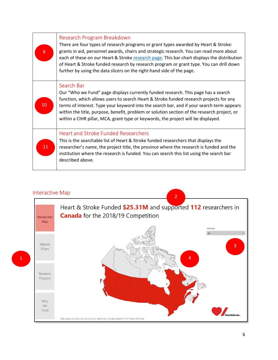<span id="page-5-1"></span><span id="page-5-0"></span>

| $\overline{9}$ | Research Program Breakdown<br>There are four types of research programs or grant types awarded by Heart & Stroke:<br>grants in aid, personnel awards, chairs and strategic research. You can read more about<br>each of these on our Heart & Stroke research page. This bar chart displays the distribution<br>of Heart & Stroke funded research by research program or grant type. You can drill down<br>further by using the data slicers on the right-hand side of the page. |
|----------------|---------------------------------------------------------------------------------------------------------------------------------------------------------------------------------------------------------------------------------------------------------------------------------------------------------------------------------------------------------------------------------------------------------------------------------------------------------------------------------|
| 10             | Search Bar<br>Our "Who we Fund" page displays currently funded research. This page has a search<br>function, which allows users to search Heart & Stroke funded research projects for any<br>terms of interest. Type your keyword into the search bar, and if your search term appears<br>within the title, purpose, benefit, problem or solution section of the research project, or<br>within a CIHR pillar, MCA, grant type or keywords, the project will be displayed.      |
| $11\,$         | <b>Heart and Stroke Funded Researchers</b><br>This is the searchable list of Heart & Stroke funded researchers that displays the<br>researcher's name, the project title, the province where the research is funded and the<br>institution where the research is funded. You can search this list using the search bar<br>described above.                                                                                                                                      |

### <span id="page-5-3"></span><span id="page-5-2"></span>Interactive Map



1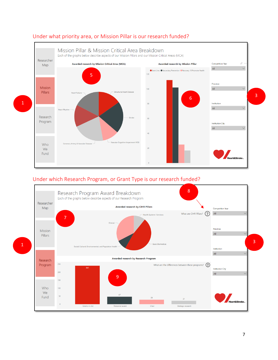

## <span id="page-6-0"></span>Under what priority area, or Mission Pillar is our research funded?

## <span id="page-6-1"></span>Under which Research Program, or Grant Type is our research funded?